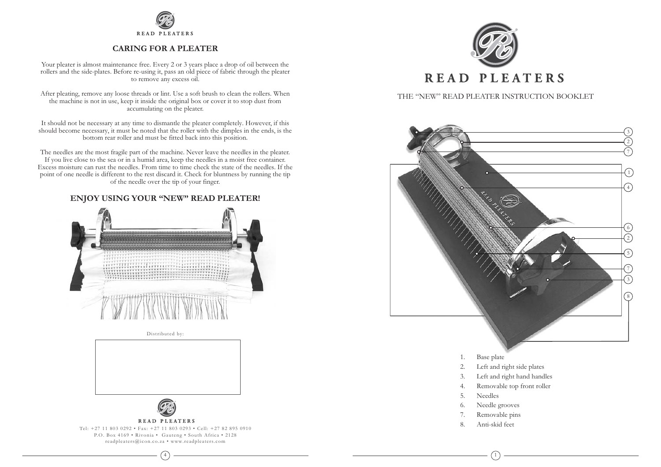

# **CARING FOR A PLEATER**

Your pleater is almost maintenance free. Every 2 or 3 years place a drop of oil between the rollers and the side-plates. Before re-using it, pass an old piece of fabric through the pleater to remove any excess oil.

After pleating, remove any loose threads or lint. Use a soft brush to clean the rollers. When the machine is not in use, keep it inside the original box or cover it to stop dust from accumulating on the pleater.

It should not be necessary at any time to dismantle the pleater completely. However, if this should become necessary, it must be noted that the roller with the dimples in the ends, is the bottom rear roller and must be fitted back into this position.

The needles are the most fragile part of the machine. Never leave the needles in the pleater. If you live close to the sea or in a humid area, keep the needles in a moist free container. Excess moisture can rust the needles. From time to time check the state of the needles. If the point of one needle is different to the rest discard it. Check for bluntness by running the tip of the needle over the tip of your finger.

# ENJOY USING YOUR "NEW" READ PLEATER!



Distributed by:





**READ PLEATERS** 

Tel: +27 11 803 0292 • Fax: +27 11 803 0293 • Cell: +27 82 895 0910 P.O. Box 4169 . Rivonia . Gauteng . South Africa . 2128 readpleaters@icon.co.za • www.readpleaters.com



THE "NEW" READ PLEATER INSTRUCTION BOOKLET



- Base plate 1.
- 2. Left and right side plates
- Left and right hand handles 3.
- Removable top front roller  $\overline{4}$ .
- 5. Needles
- Needle grooves 6.
- Removable pins 7.
- 8. Anti-skid feet